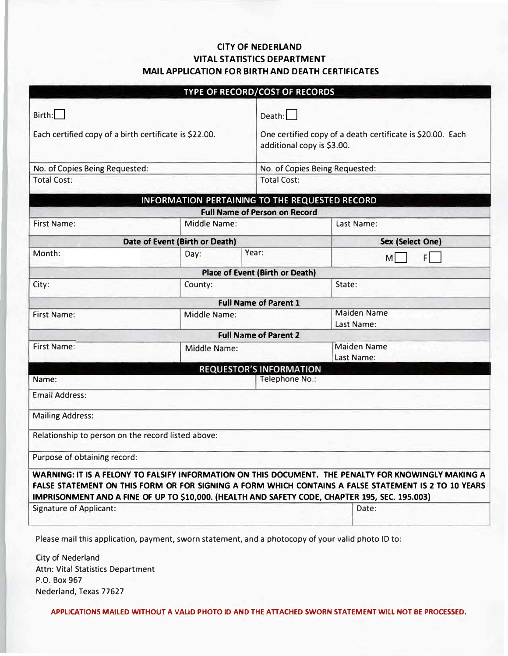## **CITY OF NEDERLAND VITAL STATISTICS DEPARTMENT MAIL APPLICATION FOR BIRTH AND DEATH CERTIFICATES**

|                                                                  |                                | TYPE OF RECORD/COST OF RECORDS         |                                                                                                                                                                                                                                                                                                               |  |
|------------------------------------------------------------------|--------------------------------|----------------------------------------|---------------------------------------------------------------------------------------------------------------------------------------------------------------------------------------------------------------------------------------------------------------------------------------------------------------|--|
| Birth:<br>Each certified copy of a birth certificate is \$22.00. |                                |                                        | Death:<br>One certified copy of a death certificate is \$20.00. Each<br>additional copy is \$3.00.                                                                                                                                                                                                            |  |
| No. of Copies Being Requested:                                   |                                |                                        | No. of Copies Being Requested:                                                                                                                                                                                                                                                                                |  |
| <b>Total Cost:</b>                                               |                                |                                        | <b>Total Cost:</b>                                                                                                                                                                                                                                                                                            |  |
|                                                                  |                                |                                        | <b>INFORMATION PERTAINING TO THE REQUESTED RECORD</b>                                                                                                                                                                                                                                                         |  |
|                                                                  |                                | <b>Full Name of Person on Record</b>   |                                                                                                                                                                                                                                                                                                               |  |
| <b>First Name:</b>                                               | Middle Name:                   |                                        | Last Name:                                                                                                                                                                                                                                                                                                    |  |
|                                                                  | Date of Event (Birth or Death) |                                        | Sex (Select One)                                                                                                                                                                                                                                                                                              |  |
| Month:                                                           | Day:                           | Year:                                  | FI<br>M                                                                                                                                                                                                                                                                                                       |  |
|                                                                  |                                | <b>Place of Event (Birth or Death)</b> |                                                                                                                                                                                                                                                                                                               |  |
| City:                                                            | County:                        |                                        | State:                                                                                                                                                                                                                                                                                                        |  |
|                                                                  |                                | <b>Full Name of Parent 1</b>           |                                                                                                                                                                                                                                                                                                               |  |
| <b>First Name:</b>                                               | Middle Name:                   |                                        | <b>Maiden Name</b><br>Last Name:                                                                                                                                                                                                                                                                              |  |
|                                                                  |                                | <b>Full Name of Parent 2</b>           |                                                                                                                                                                                                                                                                                                               |  |
| <b>First Name:</b>                                               | Middle Name:                   |                                        | <b>Maiden Name</b><br>Last Name:                                                                                                                                                                                                                                                                              |  |
|                                                                  |                                | <b>REQUESTOR'S INFORMATION</b>         |                                                                                                                                                                                                                                                                                                               |  |
| Name:                                                            |                                |                                        | Telephone No.:                                                                                                                                                                                                                                                                                                |  |
| <b>Email Address:</b>                                            |                                |                                        |                                                                                                                                                                                                                                                                                                               |  |
| <b>Mailing Address:</b>                                          |                                |                                        |                                                                                                                                                                                                                                                                                                               |  |
| Relationship to person on the record listed above:               |                                |                                        |                                                                                                                                                                                                                                                                                                               |  |
| Purpose of obtaining record:                                     |                                |                                        |                                                                                                                                                                                                                                                                                                               |  |
|                                                                  |                                |                                        | WARNING: IT IS A FELONY TO FALSIFY INFORMATION ON THIS DOCUMENT. THE PENALTY FOR KNOWINGLY MAKING A<br>FALSE STATEMENT ON THIS FORM OR FOR SIGNING A FORM WHICH CONTAINS A FALSE STATEMENT IS 2 TO 10 YEARS<br>IMPRISONMENT AND A FINE OF UP TO \$10,000. (HEALTH AND SAFETY CODE, CHAPTER 195, SEC. 195.003) |  |
| <b>Signature of Applicant:</b>                                   |                                |                                        | Date:                                                                                                                                                                                                                                                                                                         |  |

Please mail this application, payment, sworn statement, and a photocopy of your valid photo ID to:

City of Nederland Attn: Vital Statistics Department P.O. Box 967 Nederland, Texas 77627

**APPLICATIONS MAILED WITHOUT A VALID PHOTO ID AND THE ATTACHED SWORN STATEMENT WILL NOT BE PROCESSED.**